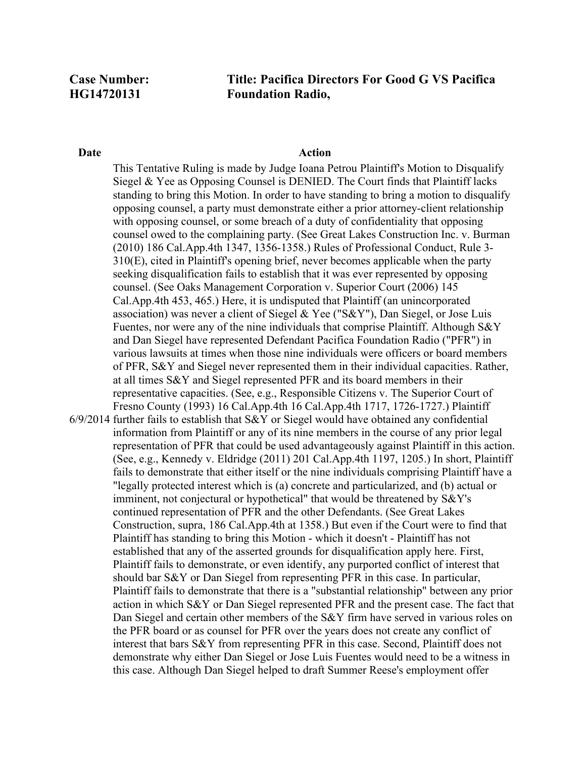# **Title: Pacifica Directors For Good G VS Pacifica Foundation Radio,**

## **Date** Action

6/9/2014 further fails to establish that S&Y or Siegel would have obtained any confidential This Tentative Ruling is made by Judge Ioana Petrou Plaintiff's Motion to Disqualify Siegel & Yee as Opposing Counsel is DENIED. The Court finds that Plaintiff lacks standing to bring this Motion. In order to have standing to bring a motion to disqualify opposing counsel, a party must demonstrate either a prior attorney-client relationship with opposing counsel, or some breach of a duty of confidentiality that opposing counsel owed to the complaining party. (See Great Lakes Construction Inc. v. Burman (2010) 186 Cal.App.4th 1347, 1356-1358.) Rules of Professional Conduct, Rule 3- 310(E), cited in Plaintiff's opening brief, never becomes applicable when the party seeking disqualification fails to establish that it was ever represented by opposing counsel. (See Oaks Management Corporation v. Superior Court (2006) 145 Cal.App.4th 453, 465.) Here, it is undisputed that Plaintiff (an unincorporated association) was never a client of Siegel & Yee ("S&Y"), Dan Siegel, or Jose Luis Fuentes, nor were any of the nine individuals that comprise Plaintiff. Although S&Y and Dan Siegel have represented Defendant Pacifica Foundation Radio ("PFR") in various lawsuits at times when those nine individuals were officers or board members of PFR, S&Y and Siegel never represented them in their individual capacities. Rather, at all times S&Y and Siegel represented PFR and its board members in their representative capacities. (See, e.g., Responsible Citizens v. The Superior Court of Fresno County (1993) 16 Cal.App.4th 16 Cal.App.4th 1717, 1726-1727.) Plaintiff information from Plaintiff or any of its nine members in the course of any prior legal representation of PFR that could be used advantageously against Plaintiff in this action. (See, e.g., Kennedy v. Eldridge (2011) 201 Cal.App.4th 1197, 1205.) In short, Plaintiff fails to demonstrate that either itself or the nine individuals comprising Plaintiff have a "legally protected interest which is (a) concrete and particularized, and (b) actual or imminent, not conjectural or hypothetical" that would be threatened by S&Y's continued representation of PFR and the other Defendants. (See Great Lakes Construction, supra, 186 Cal.App.4th at 1358.) But even if the Court were to find that Plaintiff has standing to bring this Motion - which it doesn't - Plaintiff has not established that any of the asserted grounds for disqualification apply here. First, Plaintiff fails to demonstrate, or even identify, any purported conflict of interest that should bar S&Y or Dan Siegel from representing PFR in this case. In particular, Plaintiff fails to demonstrate that there is a "substantial relationship" between any prior

action in which S&Y or Dan Siegel represented PFR and the present case. The fact that Dan Siegel and certain other members of the S&Y firm have served in various roles on the PFR board or as counsel for PFR over the years does not create any conflict of interest that bars S&Y from representing PFR in this case. Second, Plaintiff does not demonstrate why either Dan Siegel or Jose Luis Fuentes would need to be a witness in this case. Although Dan Siegel helped to draft Summer Reese's employment offer